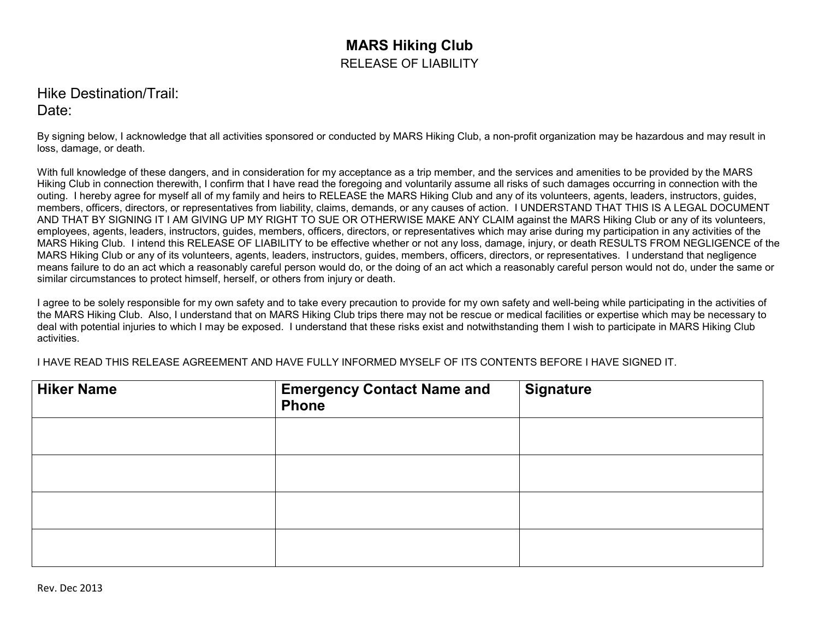## **MARS Hiking Club** RELEASE OF LIABILITY

## Hike Destination/Trail: Date:

By signing below, I acknowledge that all activities sponsored or conducted by MARS Hiking Club, a non-profit organization may be hazardous and may result in loss, damage, or death.

With full knowledge of these dangers, and in consideration for my acceptance as a trip member, and the services and amenities to be provided by the MARS Hiking Club in connection therewith, I confirm that I have read the foregoing and voluntarily assume all risks of such damages occurring in connection with the outing. I hereby agree for myself all of my family and heirs to RELEASE the MARS Hiking Club and any of its volunteers, agents, leaders, instructors, guides, members, officers, directors, or representatives from liability, claims, demands, or any causes of action. I UNDERSTAND THAT THIS IS A LEGAL DOCUMENT AND THAT BY SIGNING IT I AM GIVING UP MY RIGHT TO SUE OR OTHERWISE MAKE ANY CLAIM against the MARS Hiking Club or any of its volunteers, employees, agents, leaders, instructors, guides, members, officers, directors, or representatives which may arise during my participation in any activities of the MARS Hiking Club. I intend this RELEASE OF LIABILITY to be effective whether or not any loss, damage, injury, or death RESULTS FROM NEGLIGENCE of the MARS Hiking Club or any of its volunteers, agents, leaders, instructors, guides, members, officers, directors, or representatives. I understand that negligence means failure to do an act which a reasonably careful person would do, or the doing of an act which a reasonably careful person would not do, under the same or similar circumstances to protect himself, herself, or others from injury or death.

I agree to be solely responsible for my own safety and to take every precaution to provide for my own safety and well-being while participating in the activities of the MARS Hiking Club. Also, I understand that on MARS Hiking Club trips there may not be rescue or medical facilities or expertise which may be necessary to deal with potential injuries to which I may be exposed. I understand that these risks exist and notwithstanding them I wish to participate in MARS Hiking Club activities.

I HAVE READ THIS RELEASE AGREEMENT AND HAVE FULLY INFORMED MYSELF OF ITS CONTENTS BEFORE I HAVE SIGNED IT.

| <b>Hiker Name</b> | <b>Emergency Contact Name and</b><br><b>Phone</b> | <b>Signature</b> |
|-------------------|---------------------------------------------------|------------------|
|                   |                                                   |                  |
|                   |                                                   |                  |
|                   |                                                   |                  |
|                   |                                                   |                  |